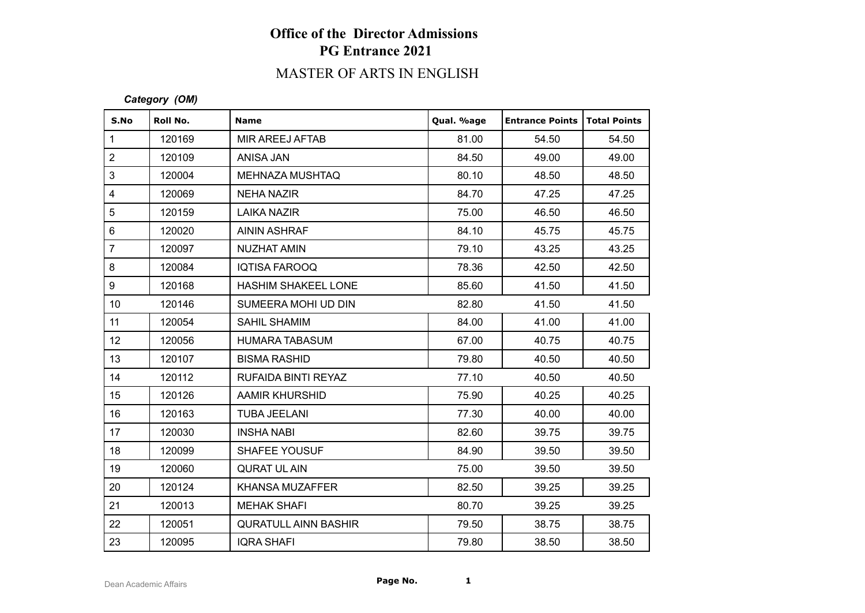# **Office of the Director Admissions PG Entrance 2021**

# MASTER OF ARTS IN ENGLISH

#### *Category (OM)*

| S.No            | Roll No. | <b>Name</b>                 | Qual. %age | <b>Entrance Points   Total Points</b> |       |
|-----------------|----------|-----------------------------|------------|---------------------------------------|-------|
| $\mathbf{1}$    | 120169   | MIR AREEJ AFTAB             | 81.00      | 54.50                                 | 54.50 |
| $\overline{2}$  | 120109   | ANISA JAN                   | 84.50      | 49.00                                 | 49.00 |
| 3               | 120004   | <b>MEHNAZA MUSHTAQ</b>      | 80.10      | 48.50                                 | 48.50 |
| $\overline{4}$  | 120069   | NEHA NAZIR                  | 84.70      | 47.25                                 | 47.25 |
| 5               | 120159   | LAIKA NAZIR                 | 75.00      | 46.50                                 | 46.50 |
| $6\phantom{a}$  | 120020   | <b>AININ ASHRAF</b>         | 84.10      | 45.75                                 | 45.75 |
| $\overline{7}$  | 120097   | <b>NUZHAT AMIN</b>          | 79.10      | 43.25                                 | 43.25 |
| 8               | 120084   | IQTISA FAROOQ               | 78.36      | 42.50                                 | 42.50 |
| 9               | 120168   | HASHIM SHAKEEL LONE         | 85.60      | 41.50                                 | 41.50 |
| 10 <sup>1</sup> | 120146   | SUMEERA MOHI UD DIN         | 82.80      | 41.50                                 | 41.50 |
| 11              | 120054   | <b>SAHIL SHAMIM</b>         | 84.00      | 41.00                                 | 41.00 |
| 12 <sup>°</sup> | 120056   | <b>HUMARA TABASUM</b>       | 67.00      | 40.75                                 | 40.75 |
| 13              | 120107   | <b>BISMA RASHID</b>         | 79.80      | 40.50                                 | 40.50 |
| 14              | 120112   | RUFAIDA BINTI REYAZ         | 77.10      | 40.50                                 | 40.50 |
| 15              | 120126   | AAMIR KHURSHID              | 75.90      | 40.25                                 | 40.25 |
| 16              | 120163   | <b>TUBA JEELANI</b>         | 77.30      | 40.00                                 | 40.00 |
| 17              | 120030   | INSHA NABI                  | 82.60      | 39.75                                 | 39.75 |
| 18              | 120099   | <b>SHAFEE YOUSUF</b>        | 84.90      | 39.50                                 | 39.50 |
| 19              | 120060   | <b>QURAT UL AIN</b>         | 75.00      | 39.50                                 | 39.50 |
| 20              | 120124   | <b>KHANSA MUZAFFER</b>      | 82.50      | 39.25                                 | 39.25 |
| 21              | 120013   | <b>MEHAK SHAFI</b>          | 80.70      | 39.25                                 | 39.25 |
| 22              | 120051   | <b>QURATULL AINN BASHIR</b> | 79.50      | 38.75                                 | 38.75 |
| 23              | 120095   | <b>IQRA SHAFI</b>           | 79.80      | 38.50                                 | 38.50 |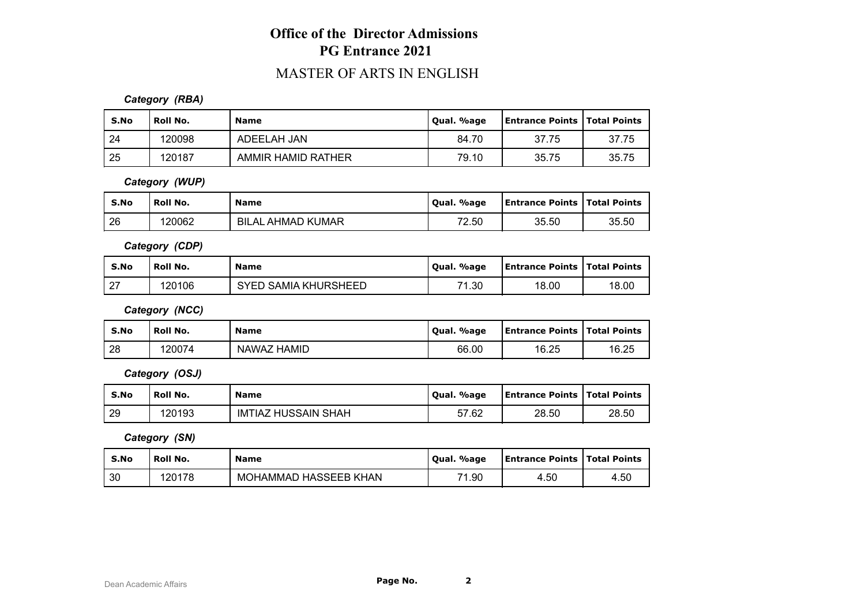### **Office of the Director Admissions PG Entrance 2021**

### MASTER OF ARTS IN ENGLISH

#### *Category (RBA)*

| S.No | <b>Roll No.</b> | <b>Name</b>        | Qual. %age | <b>Entrance Points   Total Points</b> |       |
|------|-----------------|--------------------|------------|---------------------------------------|-------|
| 24   | 120098          | ADEELAH JAN        | 84.70      | 37.75                                 | 37.75 |
| 25   | 120187          | AMMIR HAMID RATHER | 79.10      | 35.75                                 | 35.75 |

*Category (WUP)*

| S.No | Roll No. | <b>Name</b>                             | Qual. %age | <b>Entrance Points   Total Points</b> |       |
|------|----------|-----------------------------------------|------------|---------------------------------------|-------|
| 26   | 120062   | <sub>-</sub> AHMAD KUMAR<br>BIL.<br>.AL | 72.50      | 35.50                                 | 35.50 |

*Category (CDP)*

| S.No          | ' Roll No. | <b>Name</b>                    | Qual. %age | <b>Entrance Points   Total Points</b> |       |
|---------------|------------|--------------------------------|------------|---------------------------------------|-------|
| ົດສ<br>$\sim$ | 120106     | SAMIA KHURSHEED<br><b>QVED</b> | 71.30      | 18.00                                 | 18.00 |

*Category (NCC)*

| S.No | <b>Roll No.</b> | <b>Name</b> | %age<br>' Oual. | <b>Entrance Points   Total Points</b> |       |
|------|-----------------|-------------|-----------------|---------------------------------------|-------|
| 28   | 120074          | NAWAZ HAMID | 66.00           | 16.25                                 | 16.25 |

*Category (OSJ)*

| S.No | Roll No. | <b>Name</b>         | Qual. %age | <b>Entrance Points   Total Points</b> |       |
|------|----------|---------------------|------------|---------------------------------------|-------|
| 29   | 120193   | IMTIAZ HUSSAIN SHAH | 57.62      | 28.50                                 | 28.50 |

*Category (SN)*

| S.No | <b>Roll No.</b> | <b>Name</b>           | Oual, %age | <b>Entrance Points   Total Points</b> |      |
|------|-----------------|-----------------------|------------|---------------------------------------|------|
| 30   | 120178          | MOHAMMAD HASSEEB KHAN | 71.90      | 4.50                                  | 4.50 |